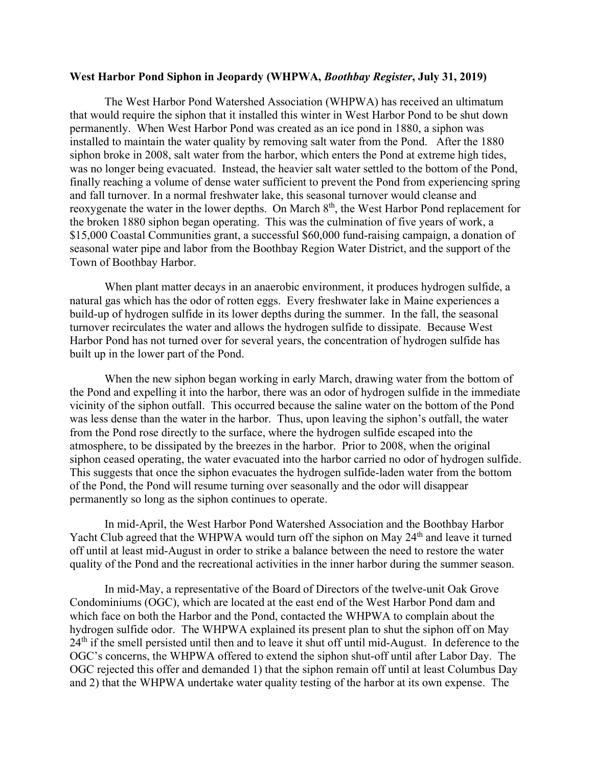## **West Harbor Pond Siphon in Jeopardy (WHPWA,** *Boothbay Register***, July 31, 2019)**

The West Harbor Pond Watershed Association (WHPWA) has received an ultimatum that would require the siphon that it installed this winter in West Harbor Pond to be shut down permanently. When West Harbor Pond was created as an ice pond in 1880, a siphon was installed to maintain the water quality by removing salt water from the Pond. After the 1880 siphon broke in 2008, salt water from the harbor, which enters the Pond at extreme high tides, was no longer being evacuated. Instead, the heavier salt water settled to the bottom of the Pond, finally reaching a volume of dense water sufficient to prevent the Pond from experiencing spring and fall turnover. In a normal freshwater lake, this seasonal turnover would cleanse and reoxygenate the water in the lower depths. On March 8<sup>th</sup>, the West Harbor Pond replacement for the broken 1880 siphon began operating. This was the culmination of five years of work, a \$15,000 Coastal Communities grant, a successful \$60,000 fund-raising campaign, a donation of seasonal water pipe and labor from the Boothbay Region Water District, and the support of the Town of Boothbay Harbor.

When plant matter decays in an anaerobic environment, it produces hydrogen sulfide, a natural gas which has the odor of rotten eggs. Every freshwater lake in Maine experiences a build-up of hydrogen sulfide in its lower depths during the summer. In the fall, the seasonal turnover recirculates the water and allows the hydrogen sulfide to dissipate. Because West Harbor Pond has not turned over for several years, the concentration of hydrogen sulfide has built up in the lower part of the Pond.

When the new siphon began working in early March, drawing water from the bottom of the Pond and expelling it into the harbor, there was an odor of hydrogen sulfide in the immediate vicinity of the siphon outfall. This occurred because the saline water on the bottom of the Pond was less dense than the water in the harbor. Thus, upon leaving the siphon's outfall, the water from the Pond rose directly to the surface, where the hydrogen sulfide escaped into the atmosphere, to be dissipated by the breezes in the harbor. Prior to 2008, when the original siphon ceased operating, the water evacuated into the harbor carried no odor of hydrogen sulfide. This suggests that once the siphon evacuates the hydrogen sulfide-laden water from the bottom of the Pond, the Pond will resume turning over seasonally and the odor will disappear permanently so long as the siphon continues to operate.

In mid-April, the West Harbor Pond Watershed Association and the Boothbay Harbor Yacht Club agreed that the WHPWA would turn off the siphon on May 24<sup>th</sup> and leave it turned off until at least mid-August in order to strike a balance between the need to restore the water quality of the Pond and the recreational activities in the inner harbor during the summer season.

In mid-May, a representative of the Board of Directors of the twelve-unit Oak Grove Condominiums (OGC), which are located at the east end of the West Harbor Pond dam and which face on both the Harbor and the Pond, contacted the WHPWA to complain about the hydrogen sulfide odor. The WHPWA explained its present plan to shut the siphon off on May  $24<sup>th</sup>$  if the smell persisted until then and to leave it shut off until mid-August. In deference to the OGC's concerns, the WHPWA offered to extend the siphon shut-off until after Labor Day. The OGC rejected this offer and demanded 1) that the siphon remain off until at least Columbus Day and 2) that the WHPWA undertake water quality testing of the harbor at its own expense. The